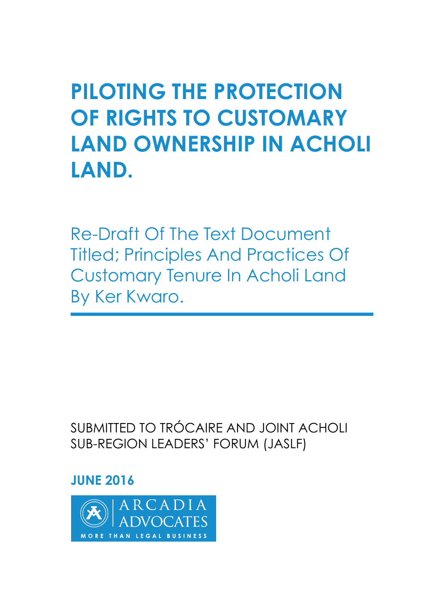**PILOTING THE PROTECTION OF RIGHTS TO CUSTOMARY LAND OWNERSHIP IN ACHOLI LAND.**

Re-Draft Of The Text Document Titled; Principles And Practices Of Customary Tenure In Acholi Land By Ker Kwaro.

SUBMITTED TO TRÓCAIRE AND JOINT ACHOLI SUB-REGION LEADERS' FORUM (JASLF)

#### **JUNE 2016**

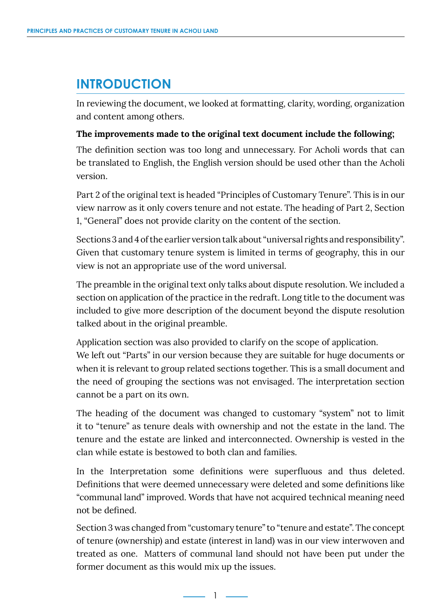### **INTRODUCTION**

In reviewing the document, we looked at formatting, clarity, wording, organization and content among others.

#### **The improvements made to the original text document include the following;**

The definition section was too long and unnecessary. For Acholi words that can be translated to English, the English version should be used other than the Acholi version.

Part 2 of the original text is headed "Principles of Customary Tenure". This is in our view narrow as it only covers tenure and not estate. The heading of Part 2, Section 1, "General" does not provide clarity on the content of the section.

Sections 3 and 4 of the earlier version talk about "universal rights and responsibility". Given that customary tenure system is limited in terms of geography, this in our view is not an appropriate use of the word universal.

The preamble in the original text only talks about dispute resolution. We included a section on application of the practice in the redraft. Long title to the document was included to give more description of the document beyond the dispute resolution talked about in the original preamble.

Application section was also provided to clarify on the scope of application. We left out "Parts" in our version because they are suitable for huge documents or when it is relevant to group related sections together. This is a small document and the need of grouping the sections was not envisaged. The interpretation section cannot be a part on its own.

The heading of the document was changed to customary "system" not to limit it to "tenure" as tenure deals with ownership and not the estate in the land. The tenure and the estate are linked and interconnected. Ownership is vested in the clan while estate is bestowed to both clan and families.

In the Interpretation some definitions were superfluous and thus deleted. Definitions that were deemed unnecessary were deleted and some definitions like "communal land" improved. Words that have not acquired technical meaning need not be defined.

Section 3 was changed from "customary tenure" to "tenure and estate". The concept of tenure (ownership) and estate (interest in land) was in our view interwoven and treated as one. Matters of communal land should not have been put under the former document as this would mix up the issues.

<u>- 1 - 1</u>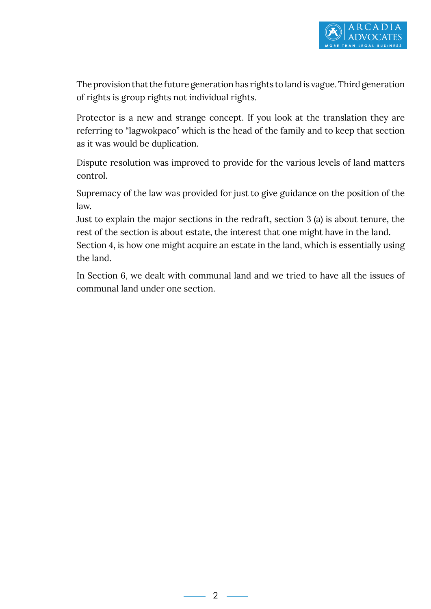The provision that the future generation has rights to land is vague. Third generation of rights is group rights not individual rights.

Protector is a new and strange concept. If you look at the translation they are referring to "lagwokpaco" which is the head of the family and to keep that section as it was would be duplication.

Dispute resolution was improved to provide for the various levels of land matters control.

Supremacy of the law was provided for just to give guidance on the position of the law.

Just to explain the major sections in the redraft, section 3 (a) is about tenure, the rest of the section is about estate, the interest that one might have in the land.

Section 4, is how one might acquire an estate in the land, which is essentially using the land.

In Section 6, we dealt with communal land and we tried to have all the issues of communal land under one section.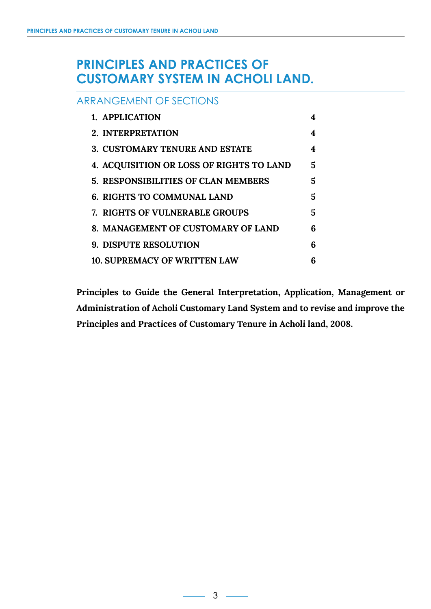#### **PRINCIPLES AND PRACTICES OF CUSTOMARY SYSTEM IN ACHOLI LAND.**

#### ARRANGEMENT OF SECTIONS

| 1. APPLICATION                                  | 4 |
|-------------------------------------------------|---|
| 2. INTERPRETATION                               | 4 |
| <b>3. CUSTOMARY TENURE AND ESTATE</b>           | 4 |
| <b>4. ACQUISITION OR LOSS OF RIGHTS TO LAND</b> | 5 |
| <b>5. RESPONSIBILITIES OF CLAN MEMBERS</b>      | 5 |
| <b>6. RIGHTS TO COMMUNAL LAND</b>               | 5 |
| 7. RIGHTS OF VULNERABLE GROUPS                  | 5 |
| 8. MANAGEMENT OF CUSTOMARY OF LAND              | 6 |
| <b>9. DISPUTE RESOLUTION</b>                    | 6 |
| <b>10. SUPREMACY OF WRITTEN LAW</b>             | հ |

**Principles to Guide the General Interpretation, Application, Management or Administration of Acholi Customary Land System and to revise and improve the Principles and Practices of Customary Tenure in Acholi land, 2008.**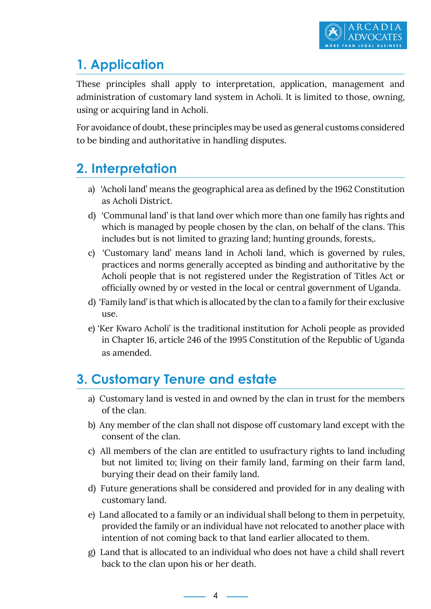# **1. Application**

These principles shall apply to interpretation, application, management and administration of customary land system in Acholi. It is limited to those, owning, using or acquiring land in Acholi.

For avoidance of doubt, these principles may be used as general customs considered to be binding and authoritative in handling disputes.

# **2. Interpretation**

- a) 'Acholi land' means the geographical area as defined by the 1962 Constitution as Acholi District.
- d) 'Communal land' is that land over which more than one family has rights and which is managed by people chosen by the clan, on behalf of the clans. This includes but is not limited to grazing land; hunting grounds, forests,.
- c) 'Customary land' means land in Acholi land, which is governed by rules, practices and norms generally accepted as binding and authoritative by the Acholi people that is not registered under the Registration of Titles Act or officially owned by or vested in the local or central government of Uganda.
- d) 'Family land' is that which is allocated by the clan to a family for their exclusive use.
- e) 'Ker Kwaro Acholi' is the traditional institution for Acholi people as provided in Chapter 16, article 246 of the 1995 Constitution of the Republic of Uganda as amended.

# **3. Customary Tenure and estate**

- a) Customary land is vested in and owned by the clan in trust for the members of the clan.
- b) Any member of the clan shall not dispose off customary land except with the consent of the clan.
- c) All members of the clan are entitled to usufractury rights to land including but not limited to; living on their family land, farming on their farm land, burying their dead on their family land.
- d) Future generations shall be considered and provided for in any dealing with customary land.
- e) Land allocated to a family or an individual shall belong to them in perpetuity, provided the family or an individual have not relocated to another place with intention of not coming back to that land earlier allocated to them.
- g) Land that is allocated to an individual who does not have a child shall revert back to the clan upon his or her death.

4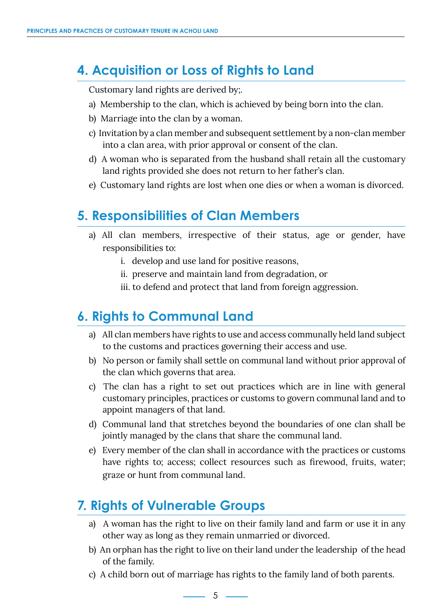# **4. Acquisition or Loss of Rights to Land**

Customary land rights are derived by;.

- a) Membership to the clan, which is achieved by being born into the clan.
- b) Marriage into the clan by a woman.
- c) Invitation by a clan member and subsequent settlement by a non-clan member into a clan area, with prior approval or consent of the clan.
- d) A woman who is separated from the husband shall retain all the customary land rights provided she does not return to her father's clan.
- e) Customary land rights are lost when one dies or when a woman is divorced.

# **5. Responsibilities of Clan Members**

- a) All clan members, irrespective of their status, age or gender, have responsibilities to:
	- i. develop and use land for positive reasons,
	- ii. preserve and maintain land from degradation, or
	- iii. to defend and protect that land from foreign aggression.

### **6. Rights to Communal Land**

- a) All clan members have rights to use and access communally held land subject to the customs and practices governing their access and use.
- b) No person or family shall settle on communal land without prior approval of the clan which governs that area.
- c) The clan has a right to set out practices which are in line with general customary principles, practices or customs to govern communal land and to appoint managers of that land.
- d) Communal land that stretches beyond the boundaries of one clan shall be jointly managed by the clans that share the communal land.
- e) Every member of the clan shall in accordance with the practices or customs have rights to; access; collect resources such as firewood, fruits, water; graze or hunt from communal land.

# **7. Rights of Vulnerable Groups**

- a) A woman has the right to live on their family land and farm or use it in any other way as long as they remain unmarried or divorced.
- b) An orphan has the right to live on their land under the leadership of the head of the family.
- c) A child born out of marriage has rights to the family land of both parents.

 $\sim$  5  $\sim$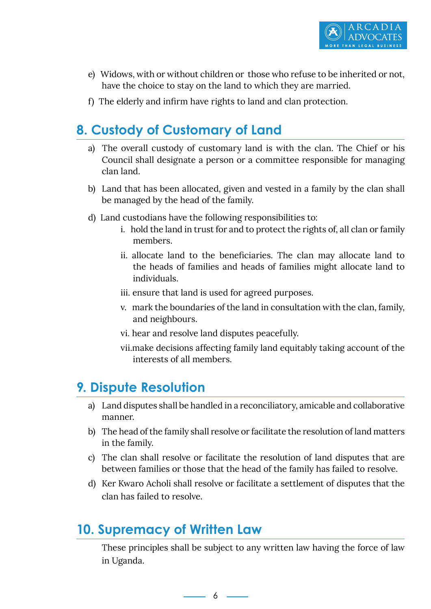

- e) Widows, with or without children or those who refuse to be inherited or not, have the choice to stay on the land to which they are married.
- f) The elderly and infirm have rights to land and clan protection.

### **8. Custody of Customary of Land**

- a) The overall custody of customary land is with the clan. The Chief or his Council shall designate a person or a committee responsible for managing clan land.
- b) Land that has been allocated, given and vested in a family by the clan shall be managed by the head of the family.
- d) Land custodians have the following responsibilities to:
	- i. hold the land in trust for and to protect the rights of, all clan or family members.
	- ii. allocate land to the beneficiaries. The clan may allocate land to the heads of families and heads of families might allocate land to individuals.
	- iii. ensure that land is used for agreed purposes.
	- v. mark the boundaries of the land in consultation with the clan, family, and neighbours.
	- vi. hear and resolve land disputes peacefully.
	- vii.make decisions affecting family land equitably taking account of the interests of all members.

#### **9. Dispute Resolution**

- a) Land disputes shall be handled in a reconciliatory, amicable and collaborative manner.
- b) The head of the family shall resolve or facilitate the resolution of land matters in the family.
- c) The clan shall resolve or facilitate the resolution of land disputes that are between families or those that the head of the family has failed to resolve.
- d) Ker Kwaro Acholi shall resolve or facilitate a settlement of disputes that the clan has failed to resolve.

### **10. Supremacy of Written Law**

These principles shall be subject to any written law having the force of law in Uganda.